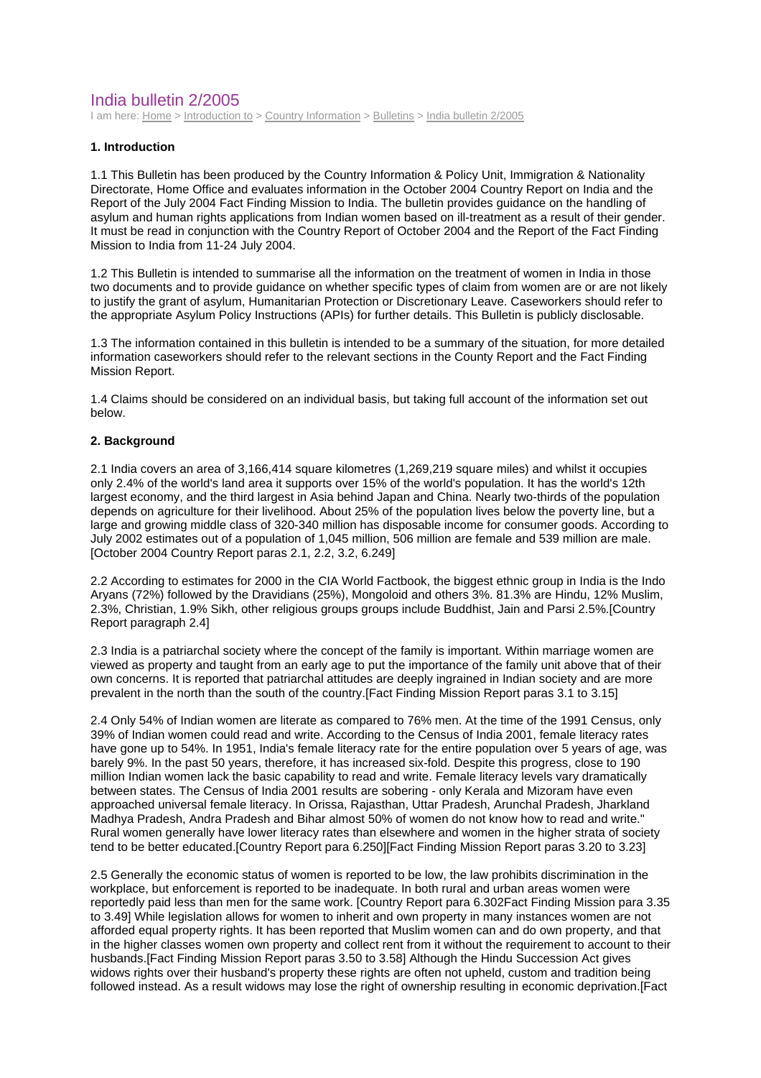# India bulletin 2/2005

I am here: Home > Introduction to > Country Information > Bulletins > India bulletin 2/2005

# **1. Introduction**

1.1 This Bulletin has been produced by the Country Information & Policy Unit, Immigration & Nationality Directorate, Home Office and evaluates information in the October 2004 Country Report on India and the Report of the July 2004 Fact Finding Mission to India. The bulletin provides guidance on the handling of asylum and human rights applications from Indian women based on ill-treatment as a result of their gender. It must be read in conjunction with the Country Report of October 2004 and the Report of the Fact Finding Mission to India from 11-24 July 2004.

1.2 This Bulletin is intended to summarise all the information on the treatment of women in India in those two documents and to provide guidance on whether specific types of claim from women are or are not likely to justify the grant of asylum, Humanitarian Protection or Discretionary Leave. Caseworkers should refer to the appropriate Asylum Policy Instructions (APIs) for further details. This Bulletin is publicly disclosable.

1.3 The information contained in this bulletin is intended to be a summary of the situation, for more detailed information caseworkers should refer to the relevant sections in the County Report and the Fact Finding Mission Report.

1.4 Claims should be considered on an individual basis, but taking full account of the information set out below.

# **2. Background**

2.1 India covers an area of 3,166,414 square kilometres (1,269,219 square miles) and whilst it occupies only 2.4% of the world's land area it supports over 15% of the world's population. It has the world's 12th largest economy, and the third largest in Asia behind Japan and China. Nearly two-thirds of the population depends on agriculture for their livelihood. About 25% of the population lives below the poverty line, but a large and growing middle class of 320-340 million has disposable income for consumer goods. According to July 2002 estimates out of a population of 1,045 million, 506 million are female and 539 million are male. [October 2004 Country Report paras 2.1, 2.2, 3.2, 6.249]

2.2 According to estimates for 2000 in the CIA World Factbook, the biggest ethnic group in India is the Indo Aryans (72%) followed by the Dravidians (25%), Mongoloid and others 3%. 81.3% are Hindu, 12% Muslim, 2.3%, Christian, 1.9% Sikh, other religious groups groups include Buddhist, Jain and Parsi 2.5%.[Country Report paragraph 2.4]

2.3 India is a patriarchal society where the concept of the family is important. Within marriage women are viewed as property and taught from an early age to put the importance of the family unit above that of their own concerns. It is reported that patriarchal attitudes are deeply ingrained in Indian society and are more prevalent in the north than the south of the country.[Fact Finding Mission Report paras 3.1 to 3.15]

2.4 Only 54% of Indian women are literate as compared to 76% men. At the time of the 1991 Census, only 39% of Indian women could read and write. According to the Census of India 2001, female literacy rates have gone up to 54%. In 1951, India's female literacy rate for the entire population over 5 years of age, was barely 9%. In the past 50 years, therefore, it has increased six-fold. Despite this progress, close to 190 million Indian women lack the basic capability to read and write. Female literacy levels vary dramatically between states. The Census of India 2001 results are sobering - only Kerala and Mizoram have even approached universal female literacy. In Orissa, Rajasthan, Uttar Pradesh, Arunchal Pradesh, Jharkland Madhya Pradesh, Andra Pradesh and Bihar almost 50% of women do not know how to read and write." Rural women generally have lower literacy rates than elsewhere and women in the higher strata of society tend to be better educated.[Country Report para 6.250][Fact Finding Mission Report paras 3.20 to 3.23]

2.5 Generally the economic status of women is reported to be low, the law prohibits discrimination in the workplace, but enforcement is reported to be inadequate. In both rural and urban areas women were reportedly paid less than men for the same work. [Country Report para 6.302Fact Finding Mission para 3.35 to 3.49] While legislation allows for women to inherit and own property in many instances women are not afforded equal property rights. It has been reported that Muslim women can and do own property, and that in the higher classes women own property and collect rent from it without the requirement to account to their husbands.[Fact Finding Mission Report paras 3.50 to 3.58] Although the Hindu Succession Act gives widows rights over their husband's property these rights are often not upheld, custom and tradition being followed instead. As a result widows may lose the right of ownership resulting in economic deprivation.[Fact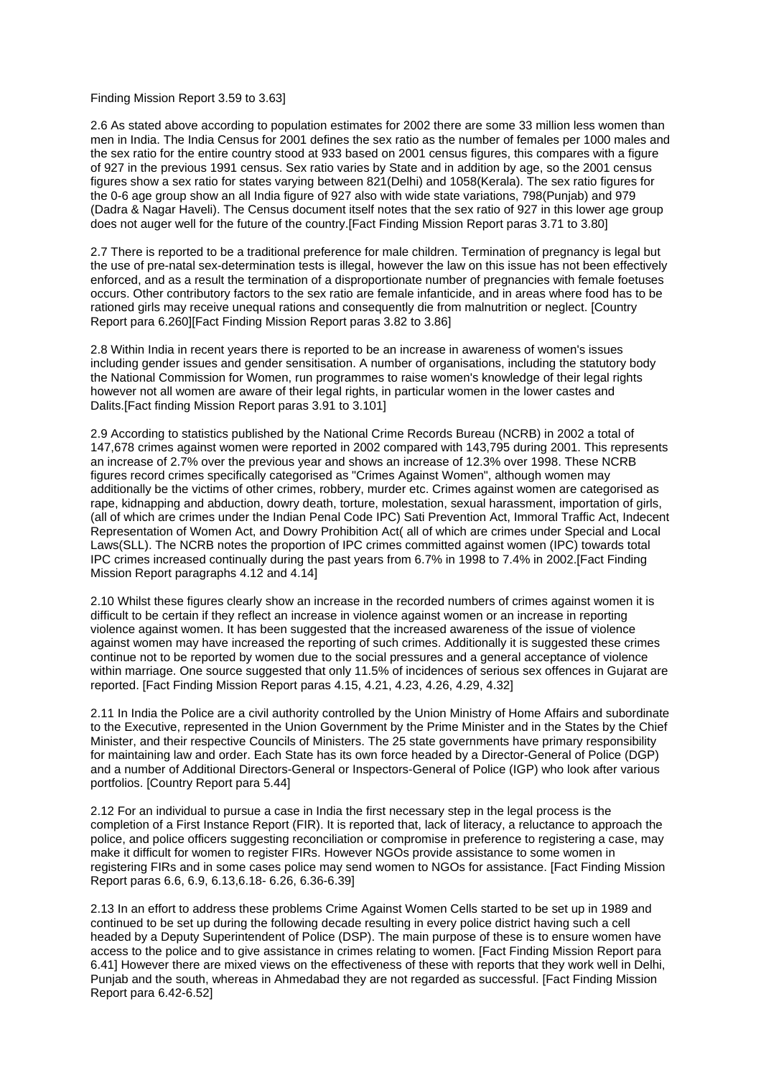#### Finding Mission Report 3.59 to 3.63]

2.6 As stated above according to population estimates for 2002 there are some 33 million less women than men in India. The India Census for 2001 defines the sex ratio as the number of females per 1000 males and the sex ratio for the entire country stood at 933 based on 2001 census figures, this compares with a figure of 927 in the previous 1991 census. Sex ratio varies by State and in addition by age, so the 2001 census figures show a sex ratio for states varying between 821(Delhi) and 1058(Kerala). The sex ratio figures for the 0-6 age group show an all India figure of 927 also with wide state variations, 798(Punjab) and 979 (Dadra & Nagar Haveli). The Census document itself notes that the sex ratio of 927 in this lower age group does not auger well for the future of the country.[Fact Finding Mission Report paras 3.71 to 3.80]

2.7 There is reported to be a traditional preference for male children. Termination of pregnancy is legal but the use of pre-natal sex-determination tests is illegal, however the law on this issue has not been effectively enforced, and as a result the termination of a disproportionate number of pregnancies with female foetuses occurs. Other contributory factors to the sex ratio are female infanticide, and in areas where food has to be rationed girls may receive unequal rations and consequently die from malnutrition or neglect. [Country Report para 6.260][Fact Finding Mission Report paras 3.82 to 3.86]

2.8 Within India in recent years there is reported to be an increase in awareness of women's issues including gender issues and gender sensitisation. A number of organisations, including the statutory body the National Commission for Women, run programmes to raise women's knowledge of their legal rights however not all women are aware of their legal rights, in particular women in the lower castes and Dalits.[Fact finding Mission Report paras 3.91 to 3.101]

2.9 According to statistics published by the National Crime Records Bureau (NCRB) in 2002 a total of 147,678 crimes against women were reported in 2002 compared with 143,795 during 2001. This represents an increase of 2.7% over the previous year and shows an increase of 12.3% over 1998. These NCRB figures record crimes specifically categorised as "Crimes Against Women", although women may additionally be the victims of other crimes, robbery, murder etc. Crimes against women are categorised as rape, kidnapping and abduction, dowry death, torture, molestation, sexual harassment, importation of girls, (all of which are crimes under the Indian Penal Code IPC) Sati Prevention Act, Immoral Traffic Act, Indecent Representation of Women Act, and Dowry Prohibition Act( all of which are crimes under Special and Local Laws(SLL). The NCRB notes the proportion of IPC crimes committed against women (IPC) towards total IPC crimes increased continually during the past years from 6.7% in 1998 to 7.4% in 2002.[Fact Finding Mission Report paragraphs 4.12 and 4.14]

2.10 Whilst these figures clearly show an increase in the recorded numbers of crimes against women it is difficult to be certain if they reflect an increase in violence against women or an increase in reporting violence against women. It has been suggested that the increased awareness of the issue of violence against women may have increased the reporting of such crimes. Additionally it is suggested these crimes continue not to be reported by women due to the social pressures and a general acceptance of violence within marriage. One source suggested that only 11.5% of incidences of serious sex offences in Gujarat are reported. [Fact Finding Mission Report paras 4.15, 4.21, 4.23, 4.26, 4.29, 4.32]

2.11 In India the Police are a civil authority controlled by the Union Ministry of Home Affairs and subordinate to the Executive, represented in the Union Government by the Prime Minister and in the States by the Chief Minister, and their respective Councils of Ministers. The 25 state governments have primary responsibility for maintaining law and order. Each State has its own force headed by a Director-General of Police (DGP) and a number of Additional Directors-General or Inspectors-General of Police (IGP) who look after various portfolios. [Country Report para 5.44]

2.12 For an individual to pursue a case in India the first necessary step in the legal process is the completion of a First Instance Report (FIR). It is reported that, lack of literacy, a reluctance to approach the police, and police officers suggesting reconciliation or compromise in preference to registering a case, may make it difficult for women to register FIRs. However NGOs provide assistance to some women in registering FIRs and in some cases police may send women to NGOs for assistance. [Fact Finding Mission Report paras 6.6, 6.9, 6.13,6.18- 6.26, 6.36-6.39]

2.13 In an effort to address these problems Crime Against Women Cells started to be set up in 1989 and continued to be set up during the following decade resulting in every police district having such a cell headed by a Deputy Superintendent of Police (DSP). The main purpose of these is to ensure women have access to the police and to give assistance in crimes relating to women. [Fact Finding Mission Report para 6.41] However there are mixed views on the effectiveness of these with reports that they work well in Delhi, Punjab and the south, whereas in Ahmedabad they are not regarded as successful. [Fact Finding Mission Report para 6.42-6.52]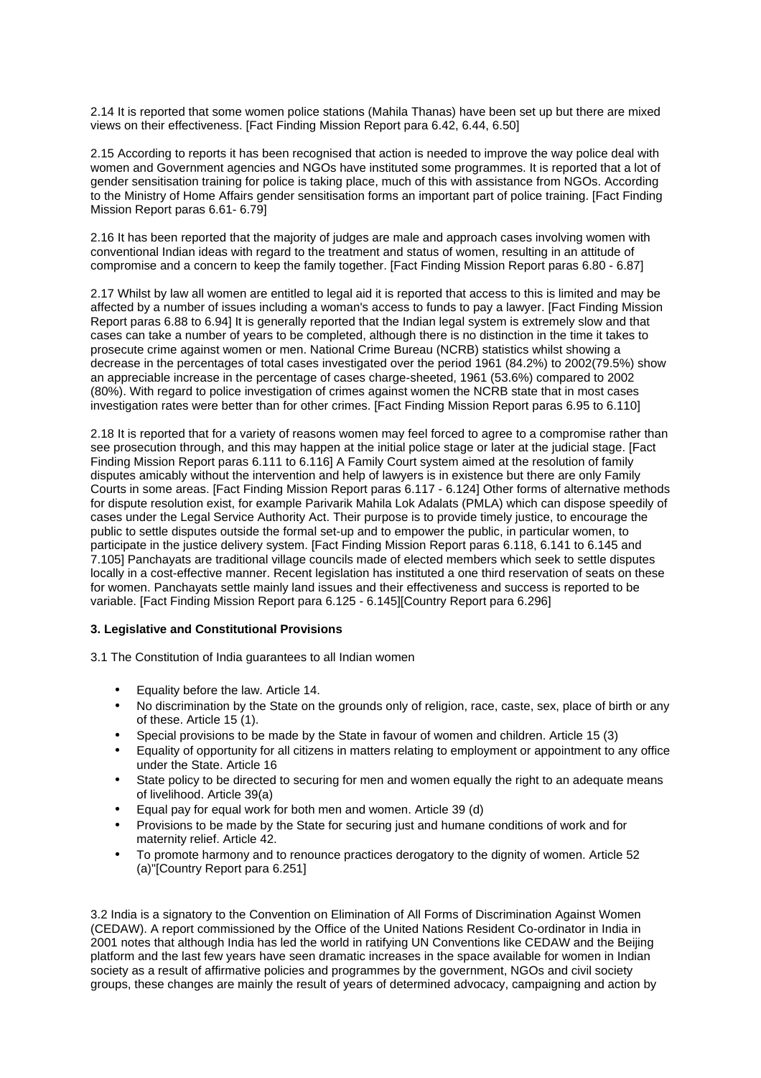2.14 It is reported that some women police stations (Mahila Thanas) have been set up but there are mixed views on their effectiveness. [Fact Finding Mission Report para 6.42, 6.44, 6.50]

2.15 According to reports it has been recognised that action is needed to improve the way police deal with women and Government agencies and NGOs have instituted some programmes. It is reported that a lot of gender sensitisation training for police is taking place, much of this with assistance from NGOs. According to the Ministry of Home Affairs gender sensitisation forms an important part of police training. [Fact Finding Mission Report paras 6.61- 6.79]

2.16 It has been reported that the majority of judges are male and approach cases involving women with conventional Indian ideas with regard to the treatment and status of women, resulting in an attitude of compromise and a concern to keep the family together. [Fact Finding Mission Report paras 6.80 - 6.87]

2.17 Whilst by law all women are entitled to legal aid it is reported that access to this is limited and may be affected by a number of issues including a woman's access to funds to pay a lawyer. [Fact Finding Mission Report paras 6.88 to 6.94] It is generally reported that the Indian legal system is extremely slow and that cases can take a number of years to be completed, although there is no distinction in the time it takes to prosecute crime against women or men. National Crime Bureau (NCRB) statistics whilst showing a decrease in the percentages of total cases investigated over the period 1961 (84.2%) to 2002(79.5%) show an appreciable increase in the percentage of cases charge-sheeted, 1961 (53.6%) compared to 2002 (80%). With regard to police investigation of crimes against women the NCRB state that in most cases investigation rates were better than for other crimes. [Fact Finding Mission Report paras 6.95 to 6.110]

2.18 It is reported that for a variety of reasons women may feel forced to agree to a compromise rather than see prosecution through, and this may happen at the initial police stage or later at the judicial stage. [Fact Finding Mission Report paras 6.111 to 6.116] A Family Court system aimed at the resolution of family disputes amicably without the intervention and help of lawyers is in existence but there are only Family Courts in some areas. [Fact Finding Mission Report paras 6.117 - 6.124] Other forms of alternative methods for dispute resolution exist, for example Parivarik Mahila Lok Adalats (PMLA) which can dispose speedily of cases under the Legal Service Authority Act. Their purpose is to provide timely justice, to encourage the public to settle disputes outside the formal set-up and to empower the public, in particular women, to participate in the justice delivery system. [Fact Finding Mission Report paras 6.118, 6.141 to 6.145 and 7.105] Panchayats are traditional village councils made of elected members which seek to settle disputes locally in a cost-effective manner. Recent legislation has instituted a one third reservation of seats on these for women. Panchayats settle mainly land issues and their effectiveness and success is reported to be variable. [Fact Finding Mission Report para 6.125 - 6.145][Country Report para 6.296]

## **3. Legislative and Constitutional Provisions**

3.1 The Constitution of India guarantees to all Indian women

- Equality before the law. Article 14.
- No discrimination by the State on the grounds only of religion, race, caste, sex, place of birth or any of these. Article 15 (1).
- Special provisions to be made by the State in favour of women and children. Article 15 (3)
- Equality of opportunity for all citizens in matters relating to employment or appointment to any office under the State. Article 16
- State policy to be directed to securing for men and women equally the right to an adequate means of livelihood. Article 39(a)
- Equal pay for equal work for both men and women. Article 39 (d)
- Provisions to be made by the State for securing just and humane conditions of work and for maternity relief. Article 42.
- To promote harmony and to renounce practices derogatory to the dignity of women. Article 52 (a)"[Country Report para 6.251]

3.2 India is a signatory to the Convention on Elimination of All Forms of Discrimination Against Women (CEDAW). A report commissioned by the Office of the United Nations Resident Co-ordinator in India in 2001 notes that although India has led the world in ratifying UN Conventions like CEDAW and the Beijing platform and the last few years have seen dramatic increases in the space available for women in Indian society as a result of affirmative policies and programmes by the government, NGOs and civil society groups, these changes are mainly the result of years of determined advocacy, campaigning and action by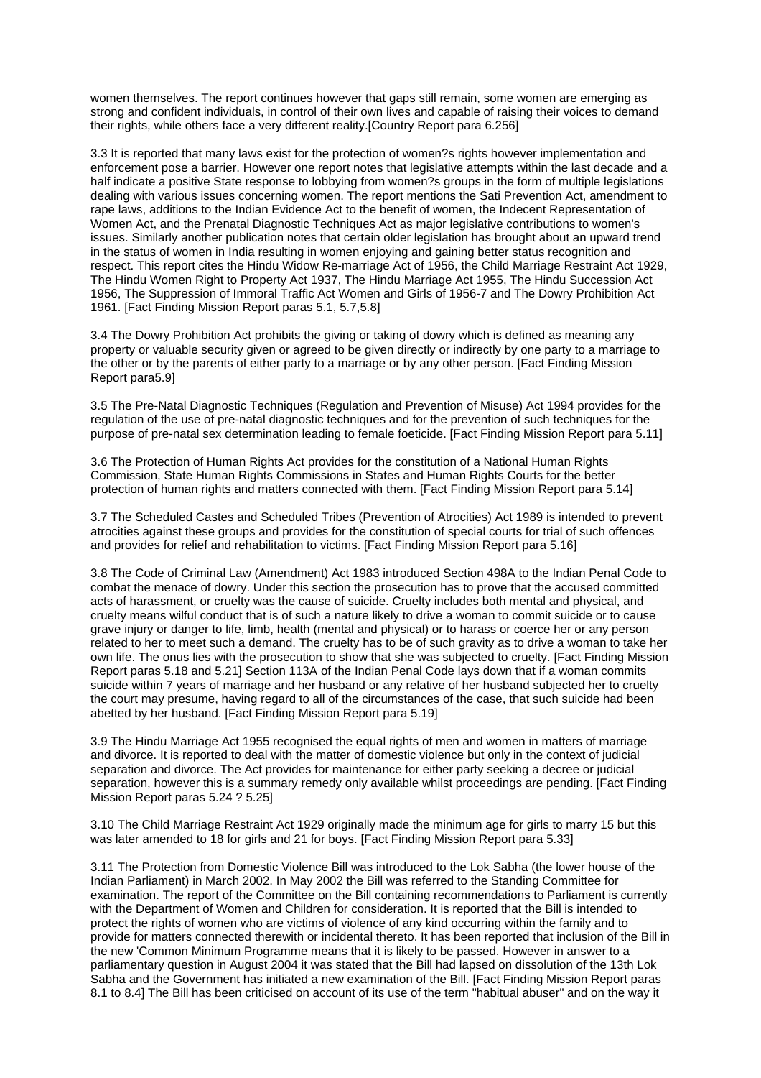women themselves. The report continues however that gaps still remain, some women are emerging as strong and confident individuals, in control of their own lives and capable of raising their voices to demand their rights, while others face a very different reality.[Country Report para 6.256]

3.3 It is reported that many laws exist for the protection of women?s rights however implementation and enforcement pose a barrier. However one report notes that legislative attempts within the last decade and a half indicate a positive State response to lobbying from women?s groups in the form of multiple legislations dealing with various issues concerning women. The report mentions the Sati Prevention Act, amendment to rape laws, additions to the Indian Evidence Act to the benefit of women, the Indecent Representation of Women Act, and the Prenatal Diagnostic Techniques Act as major legislative contributions to women's issues. Similarly another publication notes that certain older legislation has brought about an upward trend in the status of women in India resulting in women enjoying and gaining better status recognition and respect. This report cites the Hindu Widow Re-marriage Act of 1956, the Child Marriage Restraint Act 1929, The Hindu Women Right to Property Act 1937, The Hindu Marriage Act 1955, The Hindu Succession Act 1956, The Suppression of Immoral Traffic Act Women and Girls of 1956-7 and The Dowry Prohibition Act 1961. [Fact Finding Mission Report paras 5.1, 5.7,5.8]

3.4 The Dowry Prohibition Act prohibits the giving or taking of dowry which is defined as meaning any property or valuable security given or agreed to be given directly or indirectly by one party to a marriage to the other or by the parents of either party to a marriage or by any other person. [Fact Finding Mission Report para5.9]

3.5 The Pre-Natal Diagnostic Techniques (Regulation and Prevention of Misuse) Act 1994 provides for the regulation of the use of pre-natal diagnostic techniques and for the prevention of such techniques for the purpose of pre-natal sex determination leading to female foeticide. [Fact Finding Mission Report para 5.11]

3.6 The Protection of Human Rights Act provides for the constitution of a National Human Rights Commission, State Human Rights Commissions in States and Human Rights Courts for the better protection of human rights and matters connected with them. [Fact Finding Mission Report para 5.14]

3.7 The Scheduled Castes and Scheduled Tribes (Prevention of Atrocities) Act 1989 is intended to prevent atrocities against these groups and provides for the constitution of special courts for trial of such offences and provides for relief and rehabilitation to victims. [Fact Finding Mission Report para 5.16]

3.8 The Code of Criminal Law (Amendment) Act 1983 introduced Section 498A to the Indian Penal Code to combat the menace of dowry. Under this section the prosecution has to prove that the accused committed acts of harassment, or cruelty was the cause of suicide. Cruelty includes both mental and physical, and cruelty means wilful conduct that is of such a nature likely to drive a woman to commit suicide or to cause grave injury or danger to life, limb, health (mental and physical) or to harass or coerce her or any person related to her to meet such a demand. The cruelty has to be of such gravity as to drive a woman to take her own life. The onus lies with the prosecution to show that she was subjected to cruelty. [Fact Finding Mission Report paras 5.18 and 5.21] Section 113A of the Indian Penal Code lays down that if a woman commits suicide within 7 years of marriage and her husband or any relative of her husband subjected her to cruelty the court may presume, having regard to all of the circumstances of the case, that such suicide had been abetted by her husband. [Fact Finding Mission Report para 5.19]

3.9 The Hindu Marriage Act 1955 recognised the equal rights of men and women in matters of marriage and divorce. It is reported to deal with the matter of domestic violence but only in the context of judicial separation and divorce. The Act provides for maintenance for either party seeking a decree or judicial separation, however this is a summary remedy only available whilst proceedings are pending. [Fact Finding Mission Report paras 5.24 ? 5.25]

3.10 The Child Marriage Restraint Act 1929 originally made the minimum age for girls to marry 15 but this was later amended to 18 for girls and 21 for boys. [Fact Finding Mission Report para 5.33]

3.11 The Protection from Domestic Violence Bill was introduced to the Lok Sabha (the lower house of the Indian Parliament) in March 2002. In May 2002 the Bill was referred to the Standing Committee for examination. The report of the Committee on the Bill containing recommendations to Parliament is currently with the Department of Women and Children for consideration. It is reported that the Bill is intended to protect the rights of women who are victims of violence of any kind occurring within the family and to provide for matters connected therewith or incidental thereto. It has been reported that inclusion of the Bill in the new 'Common Minimum Programme means that it is likely to be passed. However in answer to a parliamentary question in August 2004 it was stated that the Bill had lapsed on dissolution of the 13th Lok Sabha and the Government has initiated a new examination of the Bill. [Fact Finding Mission Report paras 8.1 to 8.4] The Bill has been criticised on account of its use of the term "habitual abuser" and on the way it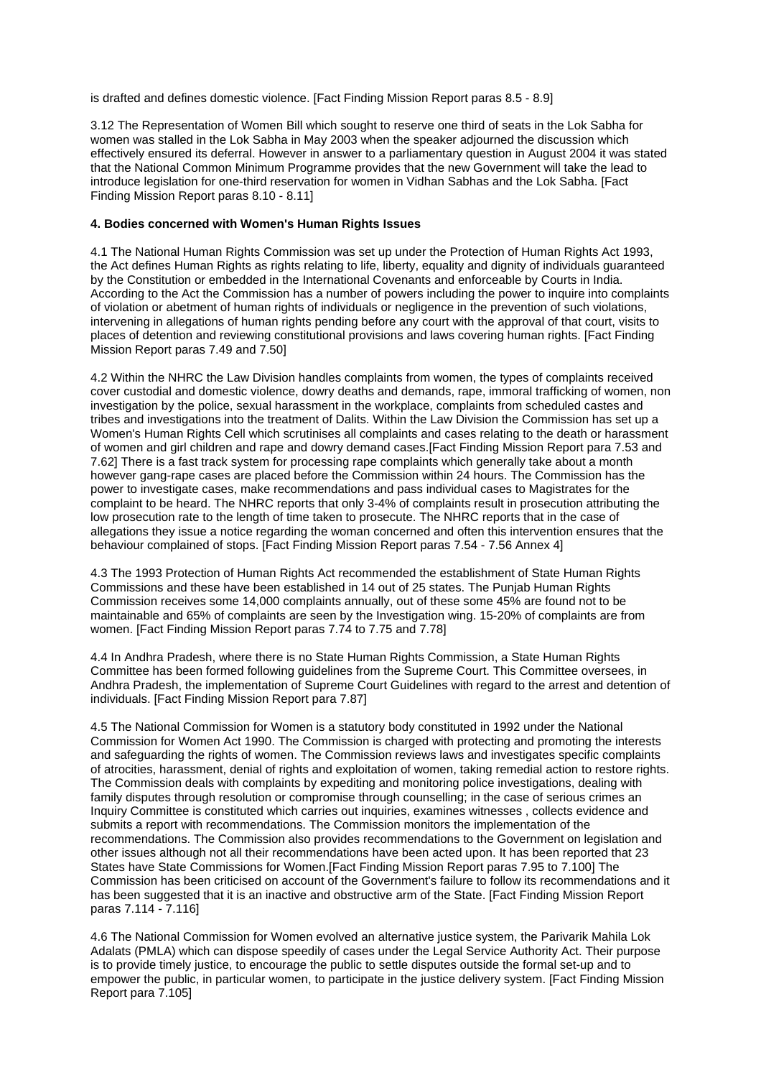is drafted and defines domestic violence. [Fact Finding Mission Report paras 8.5 - 8.9]

3.12 The Representation of Women Bill which sought to reserve one third of seats in the Lok Sabha for women was stalled in the Lok Sabha in May 2003 when the speaker adjourned the discussion which effectively ensured its deferral. However in answer to a parliamentary question in August 2004 it was stated that the National Common Minimum Programme provides that the new Government will take the lead to introduce legislation for one-third reservation for women in Vidhan Sabhas and the Lok Sabha. [Fact Finding Mission Report paras 8.10 - 8.11]

## **4. Bodies concerned with Women's Human Rights Issues**

4.1 The National Human Rights Commission was set up under the Protection of Human Rights Act 1993, the Act defines Human Rights as rights relating to life, liberty, equality and dignity of individuals guaranteed by the Constitution or embedded in the International Covenants and enforceable by Courts in India. According to the Act the Commission has a number of powers including the power to inquire into complaints of violation or abetment of human rights of individuals or negligence in the prevention of such violations, intervening in allegations of human rights pending before any court with the approval of that court, visits to places of detention and reviewing constitutional provisions and laws covering human rights. [Fact Finding Mission Report paras 7.49 and 7.50]

4.2 Within the NHRC the Law Division handles complaints from women, the types of complaints received cover custodial and domestic violence, dowry deaths and demands, rape, immoral trafficking of women, non investigation by the police, sexual harassment in the workplace, complaints from scheduled castes and tribes and investigations into the treatment of Dalits. Within the Law Division the Commission has set up a Women's Human Rights Cell which scrutinises all complaints and cases relating to the death or harassment of women and girl children and rape and dowry demand cases.[Fact Finding Mission Report para 7.53 and 7.62] There is a fast track system for processing rape complaints which generally take about a month however gang-rape cases are placed before the Commission within 24 hours. The Commission has the power to investigate cases, make recommendations and pass individual cases to Magistrates for the complaint to be heard. The NHRC reports that only 3-4% of complaints result in prosecution attributing the low prosecution rate to the length of time taken to prosecute. The NHRC reports that in the case of allegations they issue a notice regarding the woman concerned and often this intervention ensures that the behaviour complained of stops. [Fact Finding Mission Report paras 7.54 - 7.56 Annex 4]

4.3 The 1993 Protection of Human Rights Act recommended the establishment of State Human Rights Commissions and these have been established in 14 out of 25 states. The Punjab Human Rights Commission receives some 14,000 complaints annually, out of these some 45% are found not to be maintainable and 65% of complaints are seen by the Investigation wing. 15-20% of complaints are from women. [Fact Finding Mission Report paras 7.74 to 7.75 and 7.78]

4.4 In Andhra Pradesh, where there is no State Human Rights Commission, a State Human Rights Committee has been formed following guidelines from the Supreme Court. This Committee oversees, in Andhra Pradesh, the implementation of Supreme Court Guidelines with regard to the arrest and detention of individuals. [Fact Finding Mission Report para 7.87]

4.5 The National Commission for Women is a statutory body constituted in 1992 under the National Commission for Women Act 1990. The Commission is charged with protecting and promoting the interests and safeguarding the rights of women. The Commission reviews laws and investigates specific complaints of atrocities, harassment, denial of rights and exploitation of women, taking remedial action to restore rights. The Commission deals with complaints by expediting and monitoring police investigations, dealing with family disputes through resolution or compromise through counselling; in the case of serious crimes an Inquiry Committee is constituted which carries out inquiries, examines witnesses , collects evidence and submits a report with recommendations. The Commission monitors the implementation of the recommendations. The Commission also provides recommendations to the Government on legislation and other issues although not all their recommendations have been acted upon. It has been reported that 23 States have State Commissions for Women.[Fact Finding Mission Report paras 7.95 to 7.100] The Commission has been criticised on account of the Government's failure to follow its recommendations and it has been suggested that it is an inactive and obstructive arm of the State. [Fact Finding Mission Report paras 7.114 - 7.116]

4.6 The National Commission for Women evolved an alternative justice system, the Parivarik Mahila Lok Adalats (PMLA) which can dispose speedily of cases under the Legal Service Authority Act. Their purpose is to provide timely justice, to encourage the public to settle disputes outside the formal set-up and to empower the public, in particular women, to participate in the justice delivery system. [Fact Finding Mission Report para 7.105]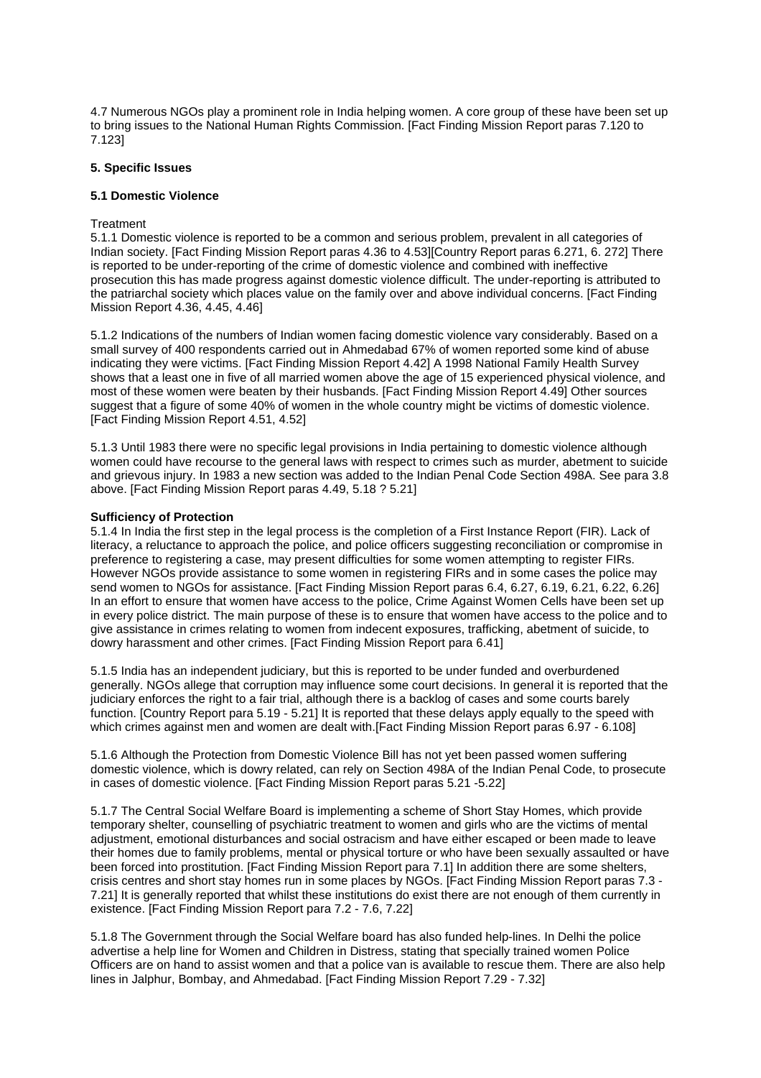4.7 Numerous NGOs play a prominent role in India helping women. A core group of these have been set up to bring issues to the National Human Rights Commission. [Fact Finding Mission Report paras 7.120 to 7.123]

# **5. Specific Issues**

#### **5.1 Domestic Violence**

## **Treatment**

5.1.1 Domestic violence is reported to be a common and serious problem, prevalent in all categories of Indian society. [Fact Finding Mission Report paras 4.36 to 4.53][Country Report paras 6.271, 6. 272] There is reported to be under-reporting of the crime of domestic violence and combined with ineffective prosecution this has made progress against domestic violence difficult. The under-reporting is attributed to the patriarchal society which places value on the family over and above individual concerns. [Fact Finding Mission Report 4.36, 4.45, 4.46]

5.1.2 Indications of the numbers of Indian women facing domestic violence vary considerably. Based on a small survey of 400 respondents carried out in Ahmedabad 67% of women reported some kind of abuse indicating they were victims. [Fact Finding Mission Report 4.42] A 1998 National Family Health Survey shows that a least one in five of all married women above the age of 15 experienced physical violence, and most of these women were beaten by their husbands. [Fact Finding Mission Report 4.49] Other sources suggest that a figure of some 40% of women in the whole country might be victims of domestic violence. [Fact Finding Mission Report 4.51, 4.52]

5.1.3 Until 1983 there were no specific legal provisions in India pertaining to domestic violence although women could have recourse to the general laws with respect to crimes such as murder, abetment to suicide and grievous injury. In 1983 a new section was added to the Indian Penal Code Section 498A. See para 3.8 above. [Fact Finding Mission Report paras 4.49, 5.18 ? 5.21]

#### **Sufficiency of Protection**

5.1.4 In India the first step in the legal process is the completion of a First Instance Report (FIR). Lack of literacy, a reluctance to approach the police, and police officers suggesting reconciliation or compromise in preference to registering a case, may present difficulties for some women attempting to register FIRs. However NGOs provide assistance to some women in registering FIRs and in some cases the police may send women to NGOs for assistance. [Fact Finding Mission Report paras 6.4, 6.27, 6.19, 6.21, 6.22, 6.26] In an effort to ensure that women have access to the police, Crime Against Women Cells have been set up in every police district. The main purpose of these is to ensure that women have access to the police and to give assistance in crimes relating to women from indecent exposures, trafficking, abetment of suicide, to dowry harassment and other crimes. [Fact Finding Mission Report para 6.41]

5.1.5 India has an independent judiciary, but this is reported to be under funded and overburdened generally. NGOs allege that corruption may influence some court decisions. In general it is reported that the judiciary enforces the right to a fair trial, although there is a backlog of cases and some courts barely function. [Country Report para 5.19 - 5.21] It is reported that these delays apply equally to the speed with which crimes against men and women are dealt with.[Fact Finding Mission Report paras 6.97 - 6.108]

5.1.6 Although the Protection from Domestic Violence Bill has not yet been passed women suffering domestic violence, which is dowry related, can rely on Section 498A of the Indian Penal Code, to prosecute in cases of domestic violence. [Fact Finding Mission Report paras 5.21 -5.22]

5.1.7 The Central Social Welfare Board is implementing a scheme of Short Stay Homes, which provide temporary shelter, counselling of psychiatric treatment to women and girls who are the victims of mental adjustment, emotional disturbances and social ostracism and have either escaped or been made to leave their homes due to family problems, mental or physical torture or who have been sexually assaulted or have been forced into prostitution. [Fact Finding Mission Report para 7.1] In addition there are some shelters, crisis centres and short stay homes run in some places by NGOs. [Fact Finding Mission Report paras 7.3 - 7.21] It is generally reported that whilst these institutions do exist there are not enough of them currently in existence. [Fact Finding Mission Report para 7.2 - 7.6, 7.22]

5.1.8 The Government through the Social Welfare board has also funded help-lines. In Delhi the police advertise a help line for Women and Children in Distress, stating that specially trained women Police Officers are on hand to assist women and that a police van is available to rescue them. There are also help lines in Jalphur, Bombay, and Ahmedabad. [Fact Finding Mission Report 7.29 - 7.32]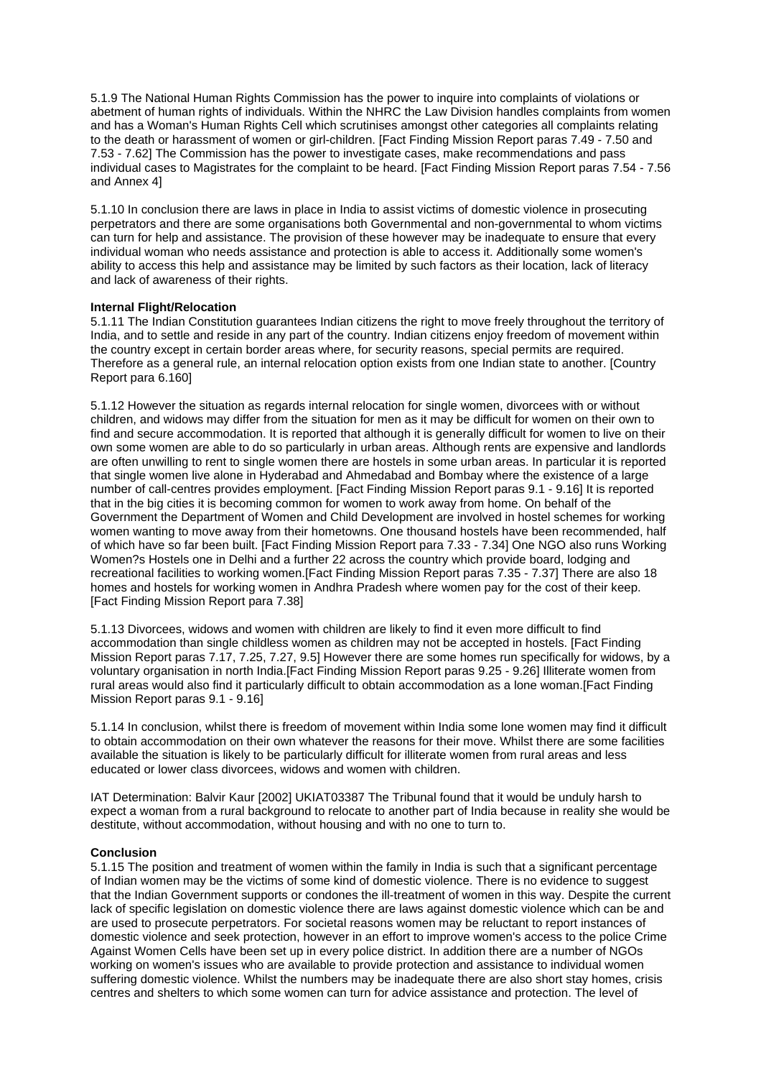5.1.9 The National Human Rights Commission has the power to inquire into complaints of violations or abetment of human rights of individuals. Within the NHRC the Law Division handles complaints from women and has a Woman's Human Rights Cell which scrutinises amongst other categories all complaints relating to the death or harassment of women or girl-children. [Fact Finding Mission Report paras 7.49 - 7.50 and 7.53 - 7.62] The Commission has the power to investigate cases, make recommendations and pass individual cases to Magistrates for the complaint to be heard. [Fact Finding Mission Report paras 7.54 - 7.56 and Annex 4]

5.1.10 In conclusion there are laws in place in India to assist victims of domestic violence in prosecuting perpetrators and there are some organisations both Governmental and non-governmental to whom victims can turn for help and assistance. The provision of these however may be inadequate to ensure that every individual woman who needs assistance and protection is able to access it. Additionally some women's ability to access this help and assistance may be limited by such factors as their location, lack of literacy and lack of awareness of their rights.

## **Internal Flight/Relocation**

5.1.11 The Indian Constitution guarantees Indian citizens the right to move freely throughout the territory of India, and to settle and reside in any part of the country. Indian citizens enjoy freedom of movement within the country except in certain border areas where, for security reasons, special permits are required. Therefore as a general rule, an internal relocation option exists from one Indian state to another. [Country Report para 6.160]

5.1.12 However the situation as regards internal relocation for single women, divorcees with or without children, and widows may differ from the situation for men as it may be difficult for women on their own to find and secure accommodation. It is reported that although it is generally difficult for women to live on their own some women are able to do so particularly in urban areas. Although rents are expensive and landlords are often unwilling to rent to single women there are hostels in some urban areas. In particular it is reported that single women live alone in Hyderabad and Ahmedabad and Bombay where the existence of a large number of call-centres provides employment. [Fact Finding Mission Report paras 9.1 - 9.16] It is reported that in the big cities it is becoming common for women to work away from home. On behalf of the Government the Department of Women and Child Development are involved in hostel schemes for working women wanting to move away from their hometowns. One thousand hostels have been recommended, half of which have so far been built. [Fact Finding Mission Report para 7.33 - 7.34] One NGO also runs Working Women?s Hostels one in Delhi and a further 22 across the country which provide board, lodging and recreational facilities to working women.[Fact Finding Mission Report paras 7.35 - 7.37] There are also 18 homes and hostels for working women in Andhra Pradesh where women pay for the cost of their keep. [Fact Finding Mission Report para 7.38]

5.1.13 Divorcees, widows and women with children are likely to find it even more difficult to find accommodation than single childless women as children may not be accepted in hostels. [Fact Finding Mission Report paras 7.17, 7.25, 7.27, 9.5] However there are some homes run specifically for widows, by a voluntary organisation in north India.[Fact Finding Mission Report paras 9.25 - 9.26] Illiterate women from rural areas would also find it particularly difficult to obtain accommodation as a lone woman.[Fact Finding Mission Report paras 9.1 - 9.16]

5.1.14 In conclusion, whilst there is freedom of movement within India some lone women may find it difficult to obtain accommodation on their own whatever the reasons for their move. Whilst there are some facilities available the situation is likely to be particularly difficult for illiterate women from rural areas and less educated or lower class divorcees, widows and women with children.

IAT Determination: Balvir Kaur [2002] UKIAT03387 The Tribunal found that it would be unduly harsh to expect a woman from a rural background to relocate to another part of India because in reality she would be destitute, without accommodation, without housing and with no one to turn to.

#### **Conclusion**

5.1.15 The position and treatment of women within the family in India is such that a significant percentage of Indian women may be the victims of some kind of domestic violence. There is no evidence to suggest that the Indian Government supports or condones the ill-treatment of women in this way. Despite the current lack of specific legislation on domestic violence there are laws against domestic violence which can be and are used to prosecute perpetrators. For societal reasons women may be reluctant to report instances of domestic violence and seek protection, however in an effort to improve women's access to the police Crime Against Women Cells have been set up in every police district. In addition there are a number of NGOs working on women's issues who are available to provide protection and assistance to individual women suffering domestic violence. Whilst the numbers may be inadequate there are also short stay homes, crisis centres and shelters to which some women can turn for advice assistance and protection. The level of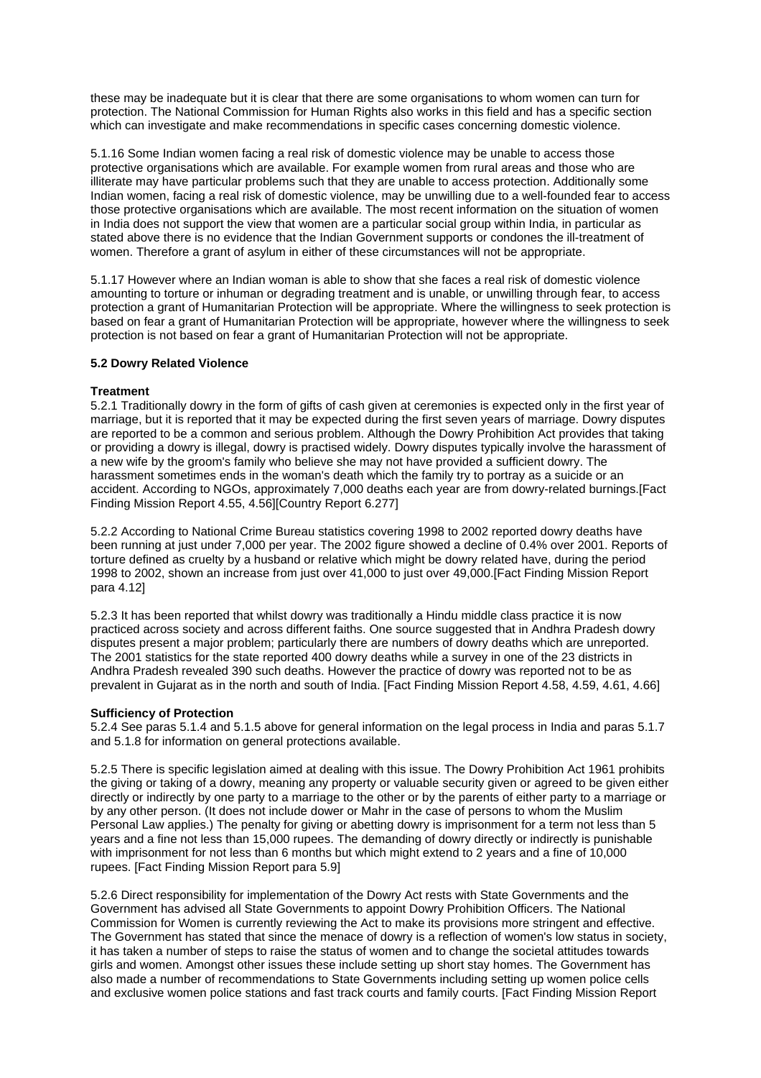these may be inadequate but it is clear that there are some organisations to whom women can turn for protection. The National Commission for Human Rights also works in this field and has a specific section which can investigate and make recommendations in specific cases concerning domestic violence.

5.1.16 Some Indian women facing a real risk of domestic violence may be unable to access those protective organisations which are available. For example women from rural areas and those who are illiterate may have particular problems such that they are unable to access protection. Additionally some Indian women, facing a real risk of domestic violence, may be unwilling due to a well-founded fear to access those protective organisations which are available. The most recent information on the situation of women in India does not support the view that women are a particular social group within India, in particular as stated above there is no evidence that the Indian Government supports or condones the ill-treatment of women. Therefore a grant of asylum in either of these circumstances will not be appropriate.

5.1.17 However where an Indian woman is able to show that she faces a real risk of domestic violence amounting to torture or inhuman or degrading treatment and is unable, or unwilling through fear, to access protection a grant of Humanitarian Protection will be appropriate. Where the willingness to seek protection is based on fear a grant of Humanitarian Protection will be appropriate, however where the willingness to seek protection is not based on fear a grant of Humanitarian Protection will not be appropriate.

# **5.2 Dowry Related Violence**

# **Treatment**

5.2.1 Traditionally dowry in the form of gifts of cash given at ceremonies is expected only in the first year of marriage, but it is reported that it may be expected during the first seven years of marriage. Dowry disputes are reported to be a common and serious problem. Although the Dowry Prohibition Act provides that taking or providing a dowry is illegal, dowry is practised widely. Dowry disputes typically involve the harassment of a new wife by the groom's family who believe she may not have provided a sufficient dowry. The harassment sometimes ends in the woman's death which the family try to portray as a suicide or an accident. According to NGOs, approximately 7,000 deaths each year are from dowry-related burnings.[Fact Finding Mission Report 4.55, 4.56][Country Report 6.277]

5.2.2 According to National Crime Bureau statistics covering 1998 to 2002 reported dowry deaths have been running at just under 7,000 per year. The 2002 figure showed a decline of 0.4% over 2001. Reports of torture defined as cruelty by a husband or relative which might be dowry related have, during the period 1998 to 2002, shown an increase from just over 41,000 to just over 49,000.[Fact Finding Mission Report para 4.12]

5.2.3 It has been reported that whilst dowry was traditionally a Hindu middle class practice it is now practiced across society and across different faiths. One source suggested that in Andhra Pradesh dowry disputes present a major problem; particularly there are numbers of dowry deaths which are unreported. The 2001 statistics for the state reported 400 dowry deaths while a survey in one of the 23 districts in Andhra Pradesh revealed 390 such deaths. However the practice of dowry was reported not to be as prevalent in Gujarat as in the north and south of India. [Fact Finding Mission Report 4.58, 4.59, 4.61, 4.66]

# **Sufficiency of Protection**

5.2.4 See paras 5.1.4 and 5.1.5 above for general information on the legal process in India and paras 5.1.7 and 5.1.8 for information on general protections available.

5.2.5 There is specific legislation aimed at dealing with this issue. The Dowry Prohibition Act 1961 prohibits the giving or taking of a dowry, meaning any property or valuable security given or agreed to be given either directly or indirectly by one party to a marriage to the other or by the parents of either party to a marriage or by any other person. (It does not include dower or Mahr in the case of persons to whom the Muslim Personal Law applies.) The penalty for giving or abetting dowry is imprisonment for a term not less than 5 years and a fine not less than 15,000 rupees. The demanding of dowry directly or indirectly is punishable with imprisonment for not less than 6 months but which might extend to 2 years and a fine of 10,000 rupees. [Fact Finding Mission Report para 5.9]

5.2.6 Direct responsibility for implementation of the Dowry Act rests with State Governments and the Government has advised all State Governments to appoint Dowry Prohibition Officers. The National Commission for Women is currently reviewing the Act to make its provisions more stringent and effective. The Government has stated that since the menace of dowry is a reflection of women's low status in society, it has taken a number of steps to raise the status of women and to change the societal attitudes towards girls and women. Amongst other issues these include setting up short stay homes. The Government has also made a number of recommendations to State Governments including setting up women police cells and exclusive women police stations and fast track courts and family courts. [Fact Finding Mission Report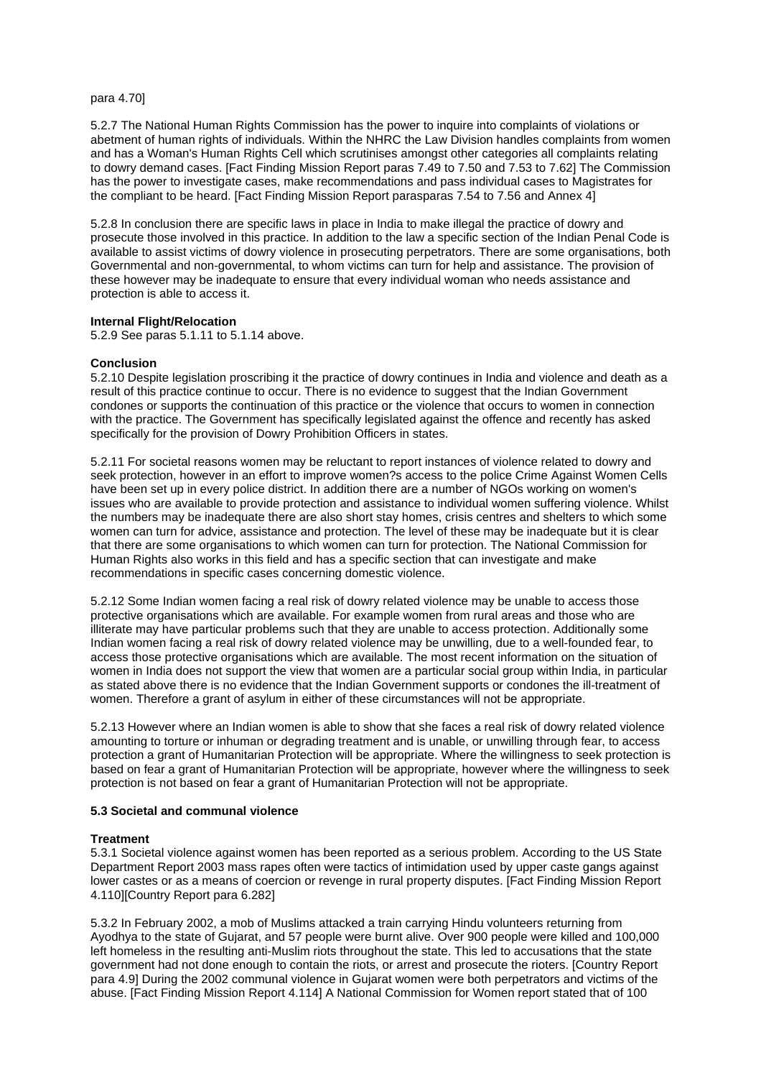para 4.70]

5.2.7 The National Human Rights Commission has the power to inquire into complaints of violations or abetment of human rights of individuals. Within the NHRC the Law Division handles complaints from women and has a Woman's Human Rights Cell which scrutinises amongst other categories all complaints relating to dowry demand cases. [Fact Finding Mission Report paras 7.49 to 7.50 and 7.53 to 7.62] The Commission has the power to investigate cases, make recommendations and pass individual cases to Magistrates for the compliant to be heard. [Fact Finding Mission Report parasparas 7.54 to 7.56 and Annex 4]

5.2.8 In conclusion there are specific laws in place in India to make illegal the practice of dowry and prosecute those involved in this practice. In addition to the law a specific section of the Indian Penal Code is available to assist victims of dowry violence in prosecuting perpetrators. There are some organisations, both Governmental and non-governmental, to whom victims can turn for help and assistance. The provision of these however may be inadequate to ensure that every individual woman who needs assistance and protection is able to access it.

### **Internal Flight/Relocation**

5.2.9 See paras 5.1.11 to 5.1.14 above.

## **Conclusion**

5.2.10 Despite legislation proscribing it the practice of dowry continues in India and violence and death as a result of this practice continue to occur. There is no evidence to suggest that the Indian Government condones or supports the continuation of this practice or the violence that occurs to women in connection with the practice. The Government has specifically legislated against the offence and recently has asked specifically for the provision of Dowry Prohibition Officers in states.

5.2.11 For societal reasons women may be reluctant to report instances of violence related to dowry and seek protection, however in an effort to improve women?s access to the police Crime Against Women Cells have been set up in every police district. In addition there are a number of NGOs working on women's issues who are available to provide protection and assistance to individual women suffering violence. Whilst the numbers may be inadequate there are also short stay homes, crisis centres and shelters to which some women can turn for advice, assistance and protection. The level of these may be inadequate but it is clear that there are some organisations to which women can turn for protection. The National Commission for Human Rights also works in this field and has a specific section that can investigate and make recommendations in specific cases concerning domestic violence.

5.2.12 Some Indian women facing a real risk of dowry related violence may be unable to access those protective organisations which are available. For example women from rural areas and those who are illiterate may have particular problems such that they are unable to access protection. Additionally some Indian women facing a real risk of dowry related violence may be unwilling, due to a well-founded fear, to access those protective organisations which are available. The most recent information on the situation of women in India does not support the view that women are a particular social group within India, in particular as stated above there is no evidence that the Indian Government supports or condones the ill-treatment of women. Therefore a grant of asylum in either of these circumstances will not be appropriate.

5.2.13 However where an Indian women is able to show that she faces a real risk of dowry related violence amounting to torture or inhuman or degrading treatment and is unable, or unwilling through fear, to access protection a grant of Humanitarian Protection will be appropriate. Where the willingness to seek protection is based on fear a grant of Humanitarian Protection will be appropriate, however where the willingness to seek protection is not based on fear a grant of Humanitarian Protection will not be appropriate.

#### **5.3 Societal and communal violence**

#### **Treatment**

5.3.1 Societal violence against women has been reported as a serious problem. According to the US State Department Report 2003 mass rapes often were tactics of intimidation used by upper caste gangs against lower castes or as a means of coercion or revenge in rural property disputes. [Fact Finding Mission Report 4.110][Country Report para 6.282]

5.3.2 In February 2002, a mob of Muslims attacked a train carrying Hindu volunteers returning from Ayodhya to the state of Gujarat, and 57 people were burnt alive. Over 900 people were killed and 100,000 left homeless in the resulting anti-Muslim riots throughout the state. This led to accusations that the state government had not done enough to contain the riots, or arrest and prosecute the rioters. [Country Report para 4.9] During the 2002 communal violence in Gujarat women were both perpetrators and victims of the abuse. [Fact Finding Mission Report 4.114] A National Commission for Women report stated that of 100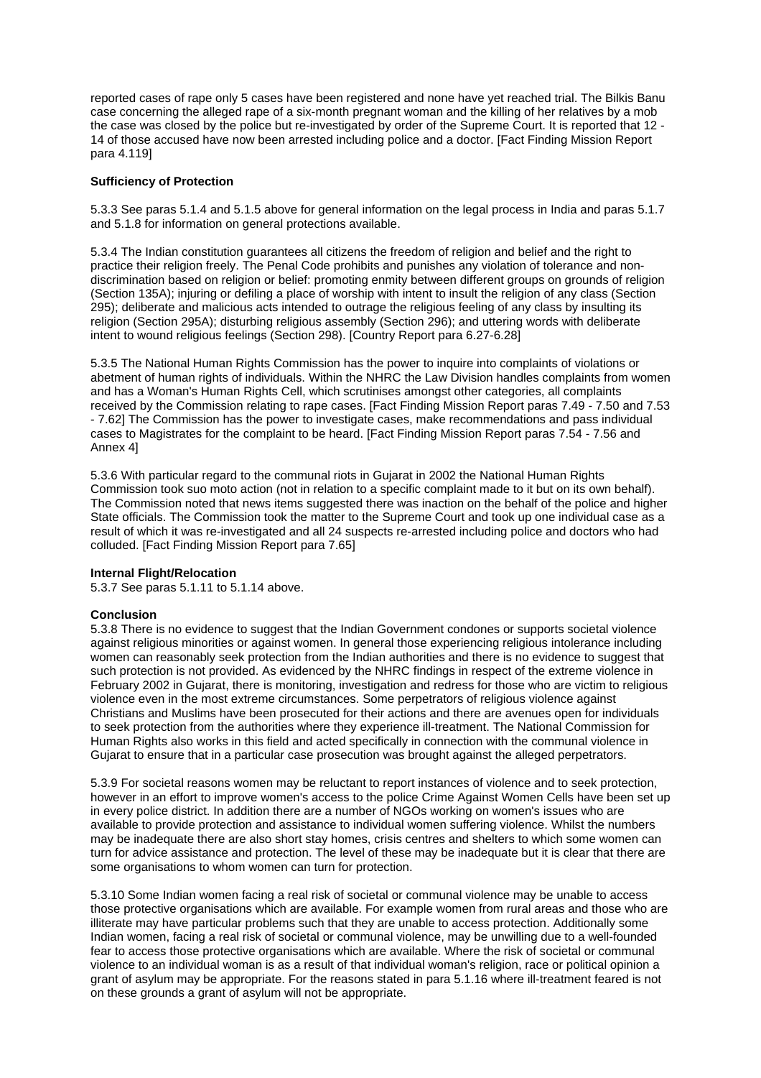reported cases of rape only 5 cases have been registered and none have vet reached trial. The Bilkis Banu case concerning the alleged rape of a six-month pregnant woman and the killing of her relatives by a mob the case was closed by the police but re-investigated by order of the Supreme Court. It is reported that 12 - 14 of those accused have now been arrested including police and a doctor. [Fact Finding Mission Report para 4.119]

## **Sufficiency of Protection**

5.3.3 See paras 5.1.4 and 5.1.5 above for general information on the legal process in India and paras 5.1.7 and 5.1.8 for information on general protections available.

5.3.4 The Indian constitution guarantees all citizens the freedom of religion and belief and the right to practice their religion freely. The Penal Code prohibits and punishes any violation of tolerance and nondiscrimination based on religion or belief: promoting enmity between different groups on grounds of religion (Section 135A); injuring or defiling a place of worship with intent to insult the religion of any class (Section 295); deliberate and malicious acts intended to outrage the religious feeling of any class by insulting its religion (Section 295A); disturbing religious assembly (Section 296); and uttering words with deliberate intent to wound religious feelings (Section 298). [Country Report para 6.27-6.28]

5.3.5 The National Human Rights Commission has the power to inquire into complaints of violations or abetment of human rights of individuals. Within the NHRC the Law Division handles complaints from women and has a Woman's Human Rights Cell, which scrutinises amongst other categories, all complaints received by the Commission relating to rape cases. [Fact Finding Mission Report paras 7.49 - 7.50 and 7.53 - 7.62] The Commission has the power to investigate cases, make recommendations and pass individual cases to Magistrates for the complaint to be heard. [Fact Finding Mission Report paras 7.54 - 7.56 and Annex 4]

5.3.6 With particular regard to the communal riots in Gujarat in 2002 the National Human Rights Commission took suo moto action (not in relation to a specific complaint made to it but on its own behalf). The Commission noted that news items suggested there was inaction on the behalf of the police and higher State officials. The Commission took the matter to the Supreme Court and took up one individual case as a result of which it was re-investigated and all 24 suspects re-arrested including police and doctors who had colluded. [Fact Finding Mission Report para 7.65]

#### **Internal Flight/Relocation**

5.3.7 See paras 5.1.11 to 5.1.14 above.

# **Conclusion**

5.3.8 There is no evidence to suggest that the Indian Government condones or supports societal violence against religious minorities or against women. In general those experiencing religious intolerance including women can reasonably seek protection from the Indian authorities and there is no evidence to suggest that such protection is not provided. As evidenced by the NHRC findings in respect of the extreme violence in February 2002 in Gujarat, there is monitoring, investigation and redress for those who are victim to religious violence even in the most extreme circumstances. Some perpetrators of religious violence against Christians and Muslims have been prosecuted for their actions and there are avenues open for individuals to seek protection from the authorities where they experience ill-treatment. The National Commission for Human Rights also works in this field and acted specifically in connection with the communal violence in Gujarat to ensure that in a particular case prosecution was brought against the alleged perpetrators.

5.3.9 For societal reasons women may be reluctant to report instances of violence and to seek protection, however in an effort to improve women's access to the police Crime Against Women Cells have been set up in every police district. In addition there are a number of NGOs working on women's issues who are available to provide protection and assistance to individual women suffering violence. Whilst the numbers may be inadequate there are also short stay homes, crisis centres and shelters to which some women can turn for advice assistance and protection. The level of these may be inadequate but it is clear that there are some organisations to whom women can turn for protection.

5.3.10 Some Indian women facing a real risk of societal or communal violence may be unable to access those protective organisations which are available. For example women from rural areas and those who are illiterate may have particular problems such that they are unable to access protection. Additionally some Indian women, facing a real risk of societal or communal violence, may be unwilling due to a well-founded fear to access those protective organisations which are available. Where the risk of societal or communal violence to an individual woman is as a result of that individual woman's religion, race or political opinion a grant of asylum may be appropriate. For the reasons stated in para 5.1.16 where ill-treatment feared is not on these grounds a grant of asylum will not be appropriate.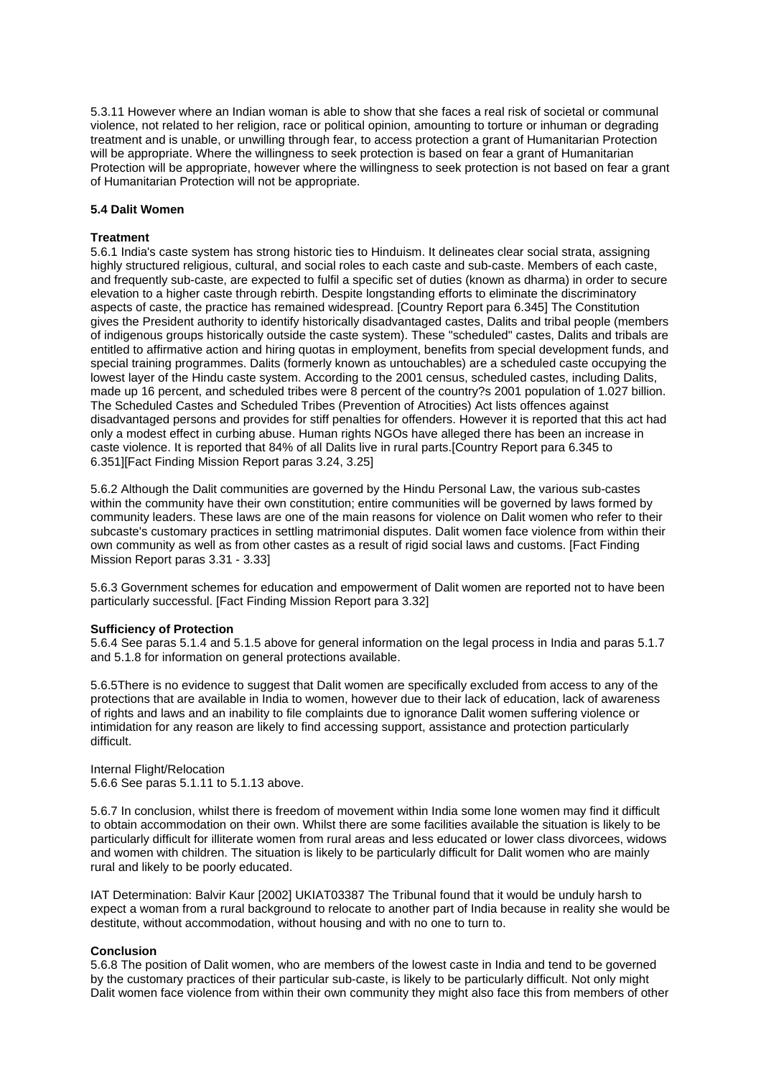5.3.11 However where an Indian woman is able to show that she faces a real risk of societal or communal violence, not related to her religion, race or political opinion, amounting to torture or inhuman or degrading treatment and is unable, or unwilling through fear, to access protection a grant of Humanitarian Protection will be appropriate. Where the willingness to seek protection is based on fear a grant of Humanitarian Protection will be appropriate, however where the willingness to seek protection is not based on fear a grant of Humanitarian Protection will not be appropriate.

## **5.4 Dalit Women**

## **Treatment**

5.6.1 India's caste system has strong historic ties to Hinduism. It delineates clear social strata, assigning highly structured religious, cultural, and social roles to each caste and sub-caste. Members of each caste, and frequently sub-caste, are expected to fulfil a specific set of duties (known as dharma) in order to secure elevation to a higher caste through rebirth. Despite longstanding efforts to eliminate the discriminatory aspects of caste, the practice has remained widespread. [Country Report para 6.345] The Constitution gives the President authority to identify historically disadvantaged castes, Dalits and tribal people (members of indigenous groups historically outside the caste system). These "scheduled" castes, Dalits and tribals are entitled to affirmative action and hiring quotas in employment, benefits from special development funds, and special training programmes. Dalits (formerly known as untouchables) are a scheduled caste occupying the lowest layer of the Hindu caste system. According to the 2001 census, scheduled castes, including Dalits, made up 16 percent, and scheduled tribes were 8 percent of the country?s 2001 population of 1.027 billion. The Scheduled Castes and Scheduled Tribes (Prevention of Atrocities) Act lists offences against disadvantaged persons and provides for stiff penalties for offenders. However it is reported that this act had only a modest effect in curbing abuse. Human rights NGOs have alleged there has been an increase in caste violence. It is reported that 84% of all Dalits live in rural parts.[Country Report para 6.345 to 6.351][Fact Finding Mission Report paras 3.24, 3.25]

5.6.2 Although the Dalit communities are governed by the Hindu Personal Law, the various sub-castes within the community have their own constitution; entire communities will be governed by laws formed by community leaders. These laws are one of the main reasons for violence on Dalit women who refer to their subcaste's customary practices in settling matrimonial disputes. Dalit women face violence from within their own community as well as from other castes as a result of rigid social laws and customs. [Fact Finding Mission Report paras 3.31 - 3.33]

5.6.3 Government schemes for education and empowerment of Dalit women are reported not to have been particularly successful. [Fact Finding Mission Report para 3.32]

#### **Sufficiency of Protection**

5.6.4 See paras 5.1.4 and 5.1.5 above for general information on the legal process in India and paras 5.1.7 and 5.1.8 for information on general protections available.

5.6.5There is no evidence to suggest that Dalit women are specifically excluded from access to any of the protections that are available in India to women, however due to their lack of education, lack of awareness of rights and laws and an inability to file complaints due to ignorance Dalit women suffering violence or intimidation for any reason are likely to find accessing support, assistance and protection particularly difficult.

Internal Flight/Relocation 5.6.6 See paras 5.1.11 to 5.1.13 above.

5.6.7 In conclusion, whilst there is freedom of movement within India some lone women may find it difficult to obtain accommodation on their own. Whilst there are some facilities available the situation is likely to be particularly difficult for illiterate women from rural areas and less educated or lower class divorcees, widows and women with children. The situation is likely to be particularly difficult for Dalit women who are mainly rural and likely to be poorly educated.

IAT Determination: Balvir Kaur [2002] UKIAT03387 The Tribunal found that it would be unduly harsh to expect a woman from a rural background to relocate to another part of India because in reality she would be destitute, without accommodation, without housing and with no one to turn to.

#### **Conclusion**

5.6.8 The position of Dalit women, who are members of the lowest caste in India and tend to be governed by the customary practices of their particular sub-caste, is likely to be particularly difficult. Not only might Dalit women face violence from within their own community they might also face this from members of other